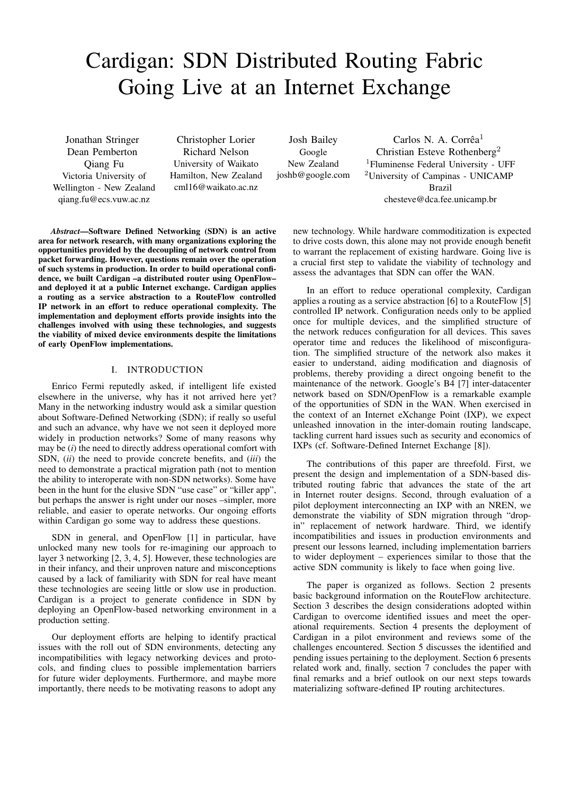# Cardigan: SDN Distributed Routing Fabric Going Live at an Internet Exchange

Jonathan Stringer Dean Pemberton Qiang Fu Victoria University of Wellington - New Zealand qiang.fu@ecs.vuw.ac.nz

Christopher Lorier Richard Nelson University of Waikato Hamilton, New Zealand cml16@waikato.ac.nz

Josh Bailey Google New Zealand joshb@google.com

Carlos N. A. Corrêa<sup>1</sup> Christian Esteve Rothenberg<sup>2</sup> <sup>1</sup>Fluminense Federal University - UFF <sup>2</sup>University of Campinas - UNICAMP Brazil chesteve@dca.fee.unicamp.br

*Abstract*—Software Defined Networking (SDN) is an active area for network research, with many organizations exploring the opportunities provided by the decoupling of network control from packet forwarding. However, questions remain over the operation of such systems in production. In order to build operational confidence, we built Cardigan –a distributed router using OpenFlow– and deployed it at a public Internet exchange. Cardigan applies a routing as a service abstraction to a RouteFlow controlled IP network in an effort to reduce operational complexity. The implementation and deployment efforts provide insights into the challenges involved with using these technologies, and suggests the viability of mixed device environments despite the limitations of early OpenFlow implementations.

# I. INTRODUCTION

Enrico Fermi reputedly asked, if intelligent life existed elsewhere in the universe, why has it not arrived here yet? Many in the networking industry would ask a similar question about Software-Defined Networking (SDN); if really so useful and such an advance, why have we not seen it deployed more widely in production networks? Some of many reasons why may be (*i*) the need to directly address operational comfort with SDN, (*ii*) the need to provide concrete benefits, and (*iii*) the need to demonstrate a practical migration path (not to mention the ability to interoperate with non-SDN networks). Some have been in the hunt for the elusive SDN "use case" or "killer app", but perhaps the answer is right under our noses –simpler, more reliable, and easier to operate networks. Our ongoing efforts within Cardigan go some way to address these questions.

SDN in general, and OpenFlow [1] in particular, have unlocked many new tools for re-imagining our approach to layer 3 networking [2, 3, 4, 5]. However, these technologies are in their infancy, and their unproven nature and misconceptions caused by a lack of familiarity with SDN for real have meant these technologies are seeing little or slow use in production. Cardigan is a project to generate confidence in SDN by deploying an OpenFlow-based networking environment in a production setting.

Our deployment efforts are helping to identify practical issues with the roll out of SDN environments, detecting any incompatibilities with legacy networking devices and protocols, and finding clues to possible implementation barriers for future wider deployments. Furthermore, and maybe more importantly, there needs to be motivating reasons to adopt any new technology. While hardware commoditization is expected to drive costs down, this alone may not provide enough benefit to warrant the replacement of existing hardware. Going live is a crucial first step to validate the viability of technology and assess the advantages that SDN can offer the WAN.

In an effort to reduce operational complexity, Cardigan applies a routing as a service abstraction [6] to a RouteFlow [5] controlled IP network. Configuration needs only to be applied once for multiple devices, and the simplified structure of the network reduces configuration for all devices. This saves operator time and reduces the likelihood of misconfiguration. The simplified structure of the network also makes it easier to understand, aiding modification and diagnosis of problems, thereby providing a direct ongoing benefit to the maintenance of the network. Google's B4 [7] inter-datacenter network based on SDN/OpenFlow is a remarkable example of the opportunities of SDN in the WAN. When exercised in the context of an Internet eXchange Point (IXP), we expect unleashed innovation in the inter-domain routing landscape, tackling current hard issues such as security and economics of IXPs (cf. Software-Defined Internet Exchange [8]).

The contributions of this paper are threefold. First, we present the design and implementation of a SDN-based distributed routing fabric that advances the state of the art in Internet router designs. Second, through evaluation of a pilot deployment interconnecting an IXP with an NREN, we demonstrate the viability of SDN migration through "dropin" replacement of network hardware. Third, we identify incompatibilities and issues in production environments and present our lessons learned, including implementation barriers to wider deployment – experiences similar to those that the active SDN community is likely to face when going live.

The paper is organized as follows. Section 2 presents basic background information on the RouteFlow architecture. Section 3 describes the design considerations adopted within Cardigan to overcome identified issues and meet the operational requirements. Section 4 presents the deployment of Cardigan in a pilot environment and reviews some of the challenges encountered. Section 5 discusses the identified and pending issues pertaining to the deployment. Section 6 presents related work and, finally, section 7 concludes the paper with final remarks and a brief outlook on our next steps towards materializing software-defined IP routing architectures.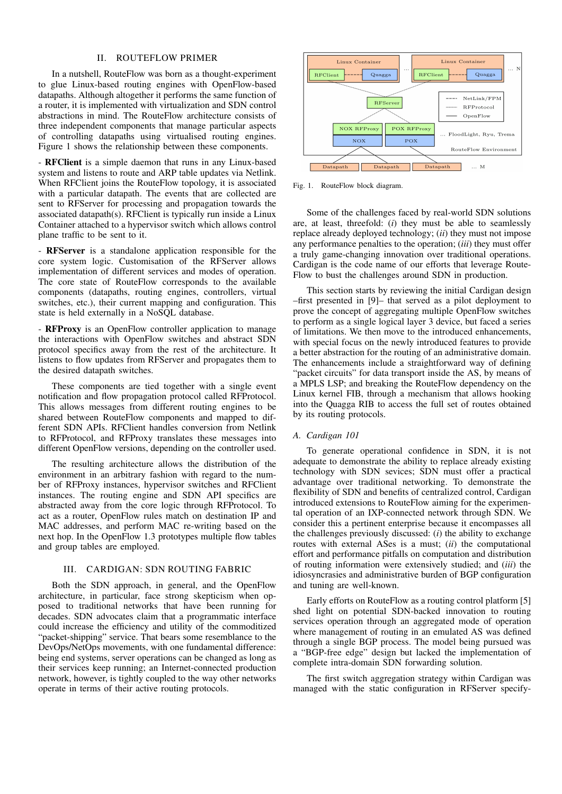# II. ROUTEFLOW PRIMER

In a nutshell, RouteFlow was born as a thought-experiment to glue Linux-based routing engines with OpenFlow-based datapaths. Although altogether it performs the same function of a router, it is implemented with virtualization and SDN control abstractions in mind. The RouteFlow architecture consists of three independent components that manage particular aspects of controlling datapaths using virtualised routing engines. Figure 1 shows the relationship between these components.

- RFClient is a simple daemon that runs in any Linux-based system and listens to route and ARP table updates via Netlink. When RFClient joins the RouteFlow topology, it is associated with a particular datapath. The events that are collected are sent to RFServer for processing and propagation towards the associated datapath(s). RFClient is typically run inside a Linux Container attached to a hypervisor switch which allows control plane traffic to be sent to it.

- RFServer is a standalone application responsible for the core system logic. Customisation of the RFServer allows implementation of different services and modes of operation. The core state of RouteFlow corresponds to the available components (datapaths, routing engines, controllers, virtual switches, etc.), their current mapping and configuration. This state is held externally in a NoSQL database.

- RFProxy is an OpenFlow controller application to manage the interactions with OpenFlow switches and abstract SDN protocol specifics away from the rest of the architecture. It listens to flow updates from RFServer and propagates them to the desired datapath switches.

These components are tied together with a single event notification and flow propagation protocol called RFProtocol. This allows messages from different routing engines to be shared between RouteFlow components and mapped to different SDN APIs. RFClient handles conversion from Netlink to RFProtocol, and RFProxy translates these messages into different OpenFlow versions, depending on the controller used.

The resulting architecture allows the distribution of the environment in an arbitrary fashion with regard to the number of RFProxy instances, hypervisor switches and RFClient instances. The routing engine and SDN API specifics are abstracted away from the core logic through RFProtocol. To act as a router, OpenFlow rules match on destination IP and MAC addresses, and perform MAC re-writing based on the next hop. In the OpenFlow 1.3 prototypes multiple flow tables and group tables are employed.

## III. CARDIGAN: SDN ROUTING FABRIC

Both the SDN approach, in general, and the OpenFlow architecture, in particular, face strong skepticism when opposed to traditional networks that have been running for decades. SDN advocates claim that a programmatic interface could increase the efficiency and utility of the commoditized "packet-shipping" service. That bears some resemblance to the DevOps/NetOps movements, with one fundamental difference: being end systems, server operations can be changed as long as their services keep running; an Internet-connected production network, however, is tightly coupled to the way other networks operate in terms of their active routing protocols.



Fig. 1. RouteFlow block diagram.

Some of the challenges faced by real-world SDN solutions are, at least, threefold: (*i*) they must be able to seamlessly replace already deployed technology; (*ii*) they must not impose any performance penalties to the operation; (*iii*) they must offer a truly game-changing innovation over traditional operations. Cardigan is the code name of our efforts that leverage Route-Flow to bust the challenges around SDN in production.

This section starts by reviewing the initial Cardigan design –first presented in [9]– that served as a pilot deployment to prove the concept of aggregating multiple OpenFlow switches to perform as a single logical layer 3 device, but faced a series of limitations. We then move to the introduced enhancements, with special focus on the newly introduced features to provide a better abstraction for the routing of an administrative domain. The enhancements include a straightforward way of defining "packet circuits" for data transport inside the AS, by means of a MPLS LSP; and breaking the RouteFlow dependency on the Linux kernel FIB, through a mechanism that allows hooking into the Quagga RIB to access the full set of routes obtained by its routing protocols.

#### *A. Cardigan 101*

To generate operational confidence in SDN, it is not adequate to demonstrate the ability to replace already existing technology with SDN sevices; SDN must offer a practical advantage over traditional networking. To demonstrate the flexibility of SDN and benefits of centralized control, Cardigan introduced extensions to RouteFlow aiming for the experimental operation of an IXP-connected network through SDN. We consider this a pertinent enterprise because it encompasses all the challenges previously discussed: (*i*) the ability to exchange routes with external ASes is a must; (*ii*) the computational effort and performance pitfalls on computation and distribution of routing information were extensively studied; and (*iii*) the idiosyncrasies and administrative burden of BGP configuration and tuning are well-known.

Early efforts on RouteFlow as a routing control platform [5] shed light on potential SDN-backed innovation to routing services operation through an aggregated mode of operation where management of routing in an emulated AS was defined through a single BGP process. The model being pursued was a "BGP-free edge" design but lacked the implementation of complete intra-domain SDN forwarding solution.

The first switch aggregation strategy within Cardigan was managed with the static configuration in RFServer specify-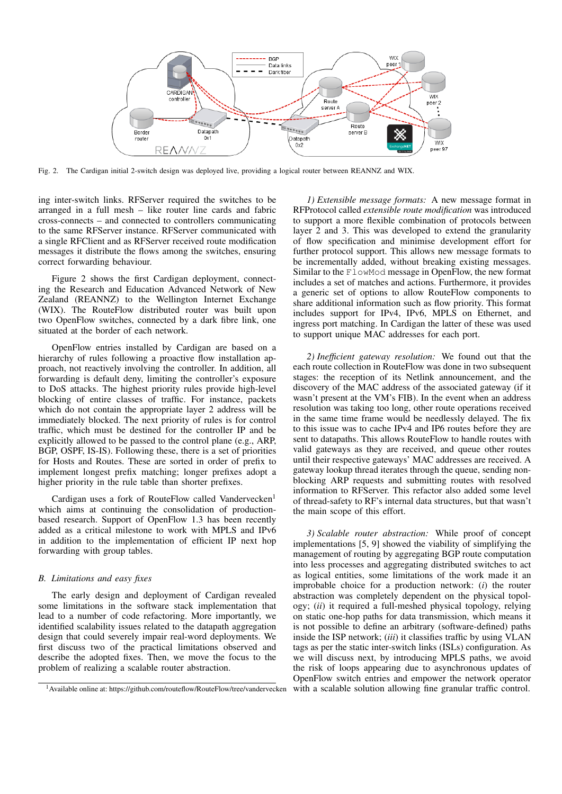

Fig. 2. The Cardigan initial 2-switch design was deployed live, providing a logical router between REANNZ and WIX.

ing inter-switch links. RFServer required the switches to be arranged in a full mesh – like router line cards and fabric cross-connects – and connected to controllers communicating to the same RFServer instance. RFServer communicated with a single RFClient and as RFServer received route modification messages it distribute the flows among the switches, ensuring correct forwarding behaviour.

Figure 2 shows the first Cardigan deployment, connecting the Research and Education Advanced Network of New Zealand (REANNZ) to the Wellington Internet Exchange (WIX). The RouteFlow distributed router was built upon two OpenFlow switches, connected by a dark fibre link, one situated at the border of each network.

OpenFlow entries installed by Cardigan are based on a hierarchy of rules following a proactive flow installation approach, not reactively involving the controller. In addition, all forwarding is default deny, limiting the controller's exposure to DoS attacks. The highest priority rules provide high-level blocking of entire classes of traffic. For instance, packets which do not contain the appropriate layer 2 address will be immediately blocked. The next priority of rules is for control traffic, which must be destined for the controller IP and be explicitly allowed to be passed to the control plane (e.g., ARP, BGP, OSPF, IS-IS). Following these, there is a set of priorities for Hosts and Routes. These are sorted in order of prefix to implement longest prefix matching; longer prefixes adopt a higher priority in the rule table than shorter prefixes.

Cardigan uses a fork of RouteFlow called Vandervecken<sup>1</sup> which aims at continuing the consolidation of productionbased research. Support of OpenFlow 1.3 has been recently added as a critical milestone to work with MPLS and IPv6 in addition to the implementation of efficient IP next hop forwarding with group tables.

#### *B. Limitations and easy fixes*

The early design and deployment of Cardigan revealed some limitations in the software stack implementation that lead to a number of code refactoring. More importantly, we identified scalability issues related to the datapath aggregation design that could severely impair real-word deployments. We first discuss two of the practical limitations observed and describe the adopted fixes. Then, we move the focus to the problem of realizing a scalable router abstraction.

*1) Extensible message formats:* A new message format in RFProtocol called *extensible route modification* was introduced to support a more flexible combination of protocols between layer 2 and 3. This was developed to extend the granularity of flow specification and minimise development effort for further protocol support. This allows new message formats to be incrementally added, without breaking existing messages. Similar to the FlowMod message in OpenFlow, the new format includes a set of matches and actions. Furthermore, it provides a generic set of options to allow RouteFlow components to share additional information such as flow priority. This format includes support for IPv4, IPv6, MPLS on Ethernet, and ingress port matching. In Cardigan the latter of these was used to support unique MAC addresses for each port.

*2) Inefficient gateway resolution:* We found out that the each route collection in RouteFlow was done in two subsequent stages: the reception of its Netlink announcement, and the discovery of the MAC address of the associated gateway (if it wasn't present at the VM's FIB). In the event when an address resolution was taking too long, other route operations received in the same time frame would be needlessly delayed. The fix to this issue was to cache IPv4 and IP6 routes before they are sent to datapaths. This allows RouteFlow to handle routes with valid gateways as they are received, and queue other routes until their respective gateways' MAC addresses are received. A gateway lookup thread iterates through the queue, sending nonblocking ARP requests and submitting routes with resolved information to RFServer. This refactor also added some level of thread-safety to RF's internal data structures, but that wasn't the main scope of this effort.

*3) Scalable router abstraction:* While proof of concept implementations [5, 9] showed the viability of simplifying the management of routing by aggregating BGP route computation into less processes and aggregating distributed switches to act as logical entities, some limitations of the work made it an improbable choice for a production network: (*i*) the router abstraction was completely dependent on the physical topology; (*ii*) it required a full-meshed physical topology, relying on static one-hop paths for data transmission, which means it is not possible to define an arbitrary (software-defined) paths inside the ISP network; (*iii*) it classifies traffic by using VLAN tags as per the static inter-switch links (ISLs) configuration. As we will discuss next, by introducing MPLS paths, we avoid the risk of loops appearing due to asynchronous updates of OpenFlow switch entries and empower the network operator with a scalable solution allowing fine granular traffic control.

<sup>&</sup>lt;sup>1</sup>Available online at: https://github.com/routeflow/RouteFlow/tree/vandervecken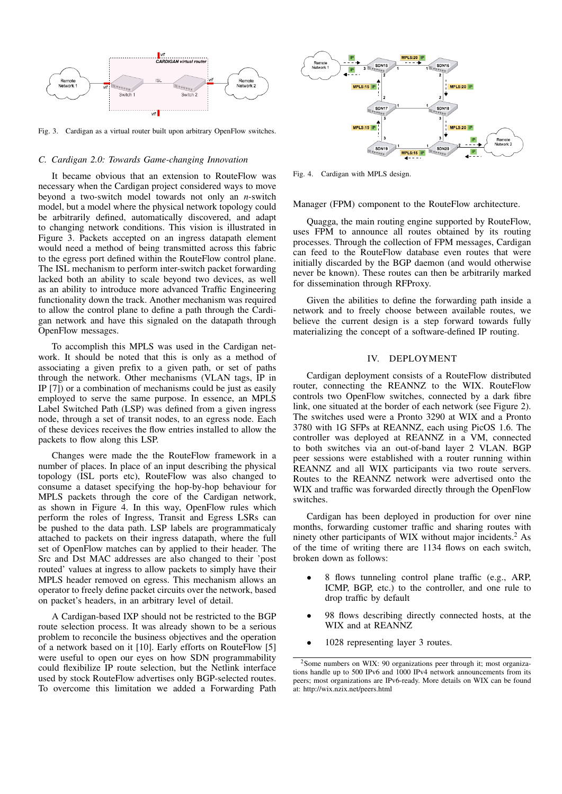

Fig. 3. Cardigan as a virtual router built upon arbitrary OpenFlow switches.

#### *C. Cardigan 2.0: Towards Game-changing Innovation*

It became obvious that an extension to RouteFlow was necessary when the Cardigan project considered ways to move beyond a two-switch model towards not only an *n*-switch model, but a model where the physical network topology could be arbitrarily defined, automatically discovered, and adapt to changing network conditions. This vision is illustrated in Figure 3. Packets accepted on an ingress datapath element would need a method of being transmitted across this fabric to the egress port defined within the RouteFlow control plane. The ISL mechanism to perform inter-switch packet forwarding lacked both an ability to scale beyond two devices, as well as an ability to introduce more advanced Traffic Engineering functionality down the track. Another mechanism was required to allow the control plane to define a path through the Cardigan network and have this signaled on the datapath through OpenFlow messages.

To accomplish this MPLS was used in the Cardigan network. It should be noted that this is only as a method of associating a given prefix to a given path, or set of paths through the network. Other mechanisms (VLAN tags, IP in IP [7]) or a combination of mechanisms could be just as easily employed to serve the same purpose. In essence, an MPLS Label Switched Path (LSP) was defined from a given ingress node, through a set of transit nodes, to an egress node. Each of these devices receives the flow entries installed to allow the packets to flow along this LSP.

Changes were made the the RouteFlow framework in a number of places. In place of an input describing the physical topology (ISL ports etc), RouteFlow was also changed to consume a dataset specifying the hop-by-hop behaviour for MPLS packets through the core of the Cardigan network, as shown in Figure 4. In this way, OpenFlow rules which perform the roles of Ingress, Transit and Egress LSRs can be pushed to the data path. LSP labels are programmaticaly attached to packets on their ingress datapath, where the full set of OpenFlow matches can by applied to their header. The Src and Dst MAC addresses are also changed to their 'post routed' values at ingress to allow packets to simply have their MPLS header removed on egress. This mechanism allows an operator to freely define packet circuits over the network, based on packet's headers, in an arbitrary level of detail.

A Cardigan-based IXP should not be restricted to the BGP route selection process. It was already shown to be a serious problem to reconcile the business objectives and the operation of a network based on it [10]. Early efforts on RouteFlow [5] were useful to open our eyes on how SDN programmability could flexibilize IP route selection, but the Netlink interface used by stock RouteFlow advertises only BGP-selected routes. To overcome this limitation we added a Forwarding Path



Fig. 4. Cardigan with MPLS design.

Manager (FPM) component to the RouteFlow architecture.

Quagga, the main routing engine supported by RouteFlow, uses FPM to announce all routes obtained by its routing processes. Through the collection of FPM messages, Cardigan can feed to the RouteFlow database even routes that were initially discarded by the BGP daemon (and would otherwise never be known). These routes can then be arbitrarily marked for dissemination through RFProxy.

Given the abilities to define the forwarding path inside a network and to freely choose between available routes, we believe the current design is a step forward towards fully materializing the concept of a software-defined IP routing.

## IV. DEPLOYMENT

Cardigan deployment consists of a RouteFlow distributed router, connecting the REANNZ to the WIX. RouteFlow controls two OpenFlow switches, connected by a dark fibre link, one situated at the border of each network (see Figure 2). The switches used were a Pronto 3290 at WIX and a Pronto 3780 with 1G SFPs at REANNZ, each using PicOS 1.6. The controller was deployed at REANNZ in a VM, connected to both switches via an out-of-band layer 2 VLAN. BGP peer sessions were established with a router running within REANNZ and all WIX participants via two route servers. Routes to the REANNZ network were advertised onto the WIX and traffic was forwarded directly through the OpenFlow switches.

Cardigan has been deployed in production for over nine months, forwarding customer traffic and sharing routes with ninety other participants of WIX without major incidents.<sup>2</sup> As of the time of writing there are 1134 flows on each switch, broken down as follows:

- 8 flows tunneling control plane traffic (e.g., ARP, ICMP, BGP, etc.) to the controller, and one rule to drop traffic by default
- 98 flows describing directly connected hosts, at the WIX and at REANNZ
- 1028 representing layer 3 routes.

<sup>&</sup>lt;sup>2</sup>Some numbers on WIX: 90 organizations peer through it; most organizations handle up to 500 IPv6 and 1000 IPv4 network announcements from its peers; most organizations are IPv6-ready. More details on WIX can be found at: http://wix.nzix.net/peers.html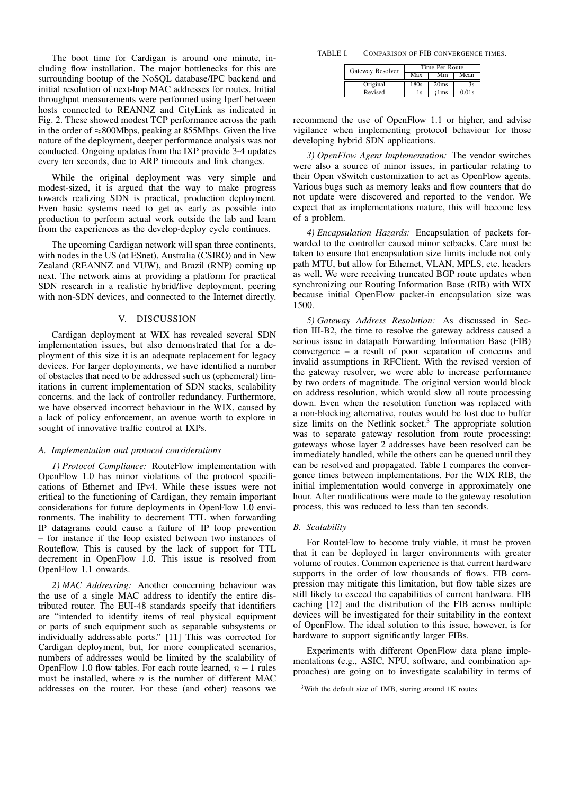The boot time for Cardigan is around one minute, including flow installation. The major bottlenecks for this are surrounding bootup of the NoSQL database/IPC backend and initial resolution of next-hop MAC addresses for routes. Initial throughput measurements were performed using Iperf between hosts connected to REANNZ and CityLink as indicated in Fig. 2. These showed modest TCP performance across the path in the order of ≈800Mbps, peaking at 855Mbps. Given the live nature of the deployment, deeper performance analysis was not conducted. Ongoing updates from the IXP provide 3-4 updates every ten seconds, due to ARP timeouts and link changes.

While the original deployment was very simple and modest-sized, it is argued that the way to make progress towards realizing SDN is practical, production deployment. Even basic systems need to get as early as possible into production to perform actual work outside the lab and learn from the experiences as the develop-deploy cycle continues.

The upcoming Cardigan network will span three continents, with nodes in the US (at ESnet), Australia (CSIRO) and in New Zealand (REANNZ and VUW), and Brazil (RNP) coming up next. The network aims at providing a platform for practical SDN research in a realistic hybrid/live deployment, peering with non-SDN devices, and connected to the Internet directly.

# V. DISCUSSION

Cardigan deployment at WIX has revealed several SDN implementation issues, but also demonstrated that for a deployment of this size it is an adequate replacement for legacy devices. For larger deployments, we have identified a number of obstacles that need to be addressed such us (ephemeral) limitations in current implementation of SDN stacks, scalability concerns. and the lack of controller redundancy. Furthermore, we have observed incorrect behaviour in the WIX, caused by a lack of policy enforcement, an avenue worth to explore in sought of innovative traffic control at IXPs.

#### *A. Implementation and protocol considerations*

*1) Protocol Compliance:* RouteFlow implementation with OpenFlow 1.0 has minor violations of the protocol specifications of Ethernet and IPv4. While these issues were not critical to the functioning of Cardigan, they remain important considerations for future deployments in OpenFlow 1.0 environments. The inability to decrement TTL when forwarding IP datagrams could cause a failure of IP loop prevention – for instance if the loop existed between two instances of Routeflow. This is caused by the lack of support for TTL decrement in OpenFlow 1.0. This issue is resolved from OpenFlow 1.1 onwards.

*2) MAC Addressing:* Another concerning behaviour was the use of a single MAC address to identify the entire distributed router. The EUI-48 standards specify that identifiers are "intended to identify items of real physical equipment or parts of such equipment such as separable subsystems or individually addressable ports." [11] This was corrected for Cardigan deployment, but, for more complicated scenarios, numbers of addresses would be limited by the scalability of OpenFlow 1.0 flow tables. For each route learned,  $n - 1$  rules must be installed, where  $n$  is the number of different MAC addresses on the router. For these (and other) reasons we

TABLE I. COMPARISON OF FIB CONVERGENCE TIMES.

| Gateway Resolver | Time Per Route |       |       |
|------------------|----------------|-------|-------|
|                  | Max            | Min   | Mean  |
| Original         | 180s           | 20ms  | 3s    |
| Revised          | 1s             | : 1ms | 0.01s |

recommend the use of OpenFlow 1.1 or higher, and advise vigilance when implementing protocol behaviour for those developing hybrid SDN applications.

*3) OpenFlow Agent Implementation:* The vendor switches were also a source of minor issues, in particular relating to their Open vSwitch customization to act as OpenFlow agents. Various bugs such as memory leaks and flow counters that do not update were discovered and reported to the vendor. We expect that as implementations mature, this will become less of a problem.

*4) Encapsulation Hazards:* Encapsulation of packets forwarded to the controller caused minor setbacks. Care must be taken to ensure that encapsulation size limits include not only path MTU, but allow for Ethernet, VLAN, MPLS, etc. headers as well. We were receiving truncated BGP route updates when synchronizing our Routing Information Base (RIB) with WIX because initial OpenFlow packet-in encapsulation size was 1500.

*5) Gateway Address Resolution:* As discussed in Section III-B2, the time to resolve the gateway address caused a serious issue in datapath Forwarding Information Base (FIB) convergence – a result of poor separation of concerns and invalid assumptions in RFClient. With the revised version of the gateway resolver, we were able to increase performance by two orders of magnitude. The original version would block on address resolution, which would slow all route processing down. Even when the resolution function was replaced with a non-blocking alternative, routes would be lost due to buffer size limits on the Netlink socket.<sup>3</sup> The appropriate solution was to separate gateway resolution from route processing; gateways whose layer 2 addresses have been resolved can be immediately handled, while the others can be queued until they can be resolved and propagated. Table I compares the convergence times between implementations. For the WIX RIB, the initial implementation would converge in approximately one hour. After modifications were made to the gateway resolution process, this was reduced to less than ten seconds.

#### *B. Scalability*

For RouteFlow to become truly viable, it must be proven that it can be deployed in larger environments with greater volume of routes. Common experience is that current hardware supports in the order of low thousands of flows. FIB compression may mitigate this limitation, but flow table sizes are still likely to exceed the capabilities of current hardware. FIB caching [12] and the distribution of the FIB across multiple devices will be investigated for their suitability in the context of OpenFlow. The ideal solution to this issue, however, is for hardware to support significantly larger FIBs.

Experiments with different OpenFlow data plane implementations (e.g., ASIC, NPU, software, and combination approaches) are going on to investigate scalability in terms of

<sup>&</sup>lt;sup>3</sup>With the default size of 1MB, storing around 1K routes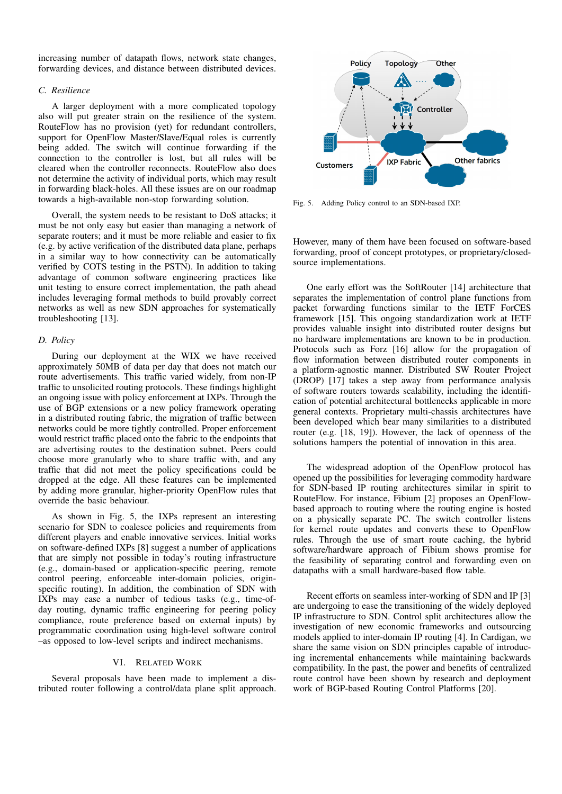increasing number of datapath flows, network state changes, forwarding devices, and distance between distributed devices.

## *C. Resilience*

A larger deployment with a more complicated topology also will put greater strain on the resilience of the system. RouteFlow has no provision (yet) for redundant controllers, support for OpenFlow Master/Slave/Equal roles is currently being added. The switch will continue forwarding if the connection to the controller is lost, but all rules will be cleared when the controller reconnects. RouteFlow also does not determine the activity of individual ports, which may result in forwarding black-holes. All these issues are on our roadmap towards a high-available non-stop forwarding solution.

Overall, the system needs to be resistant to DoS attacks; it must be not only easy but easier than managing a network of separate routers; and it must be more reliable and easier to fix (e.g. by active verification of the distributed data plane, perhaps in a similar way to how connectivity can be automatically verified by COTS testing in the PSTN). In addition to taking advantage of common software engineering practices like unit testing to ensure correct implementation, the path ahead includes leveraging formal methods to build provably correct networks as well as new SDN approaches for systematically troubleshooting [13].

## *D. Policy*

During our deployment at the WIX we have received approximately 50MB of data per day that does not match our route advertisements. This traffic varied widely, from non-IP traffic to unsolicited routing protocols. These findings highlight an ongoing issue with policy enforcement at IXPs. Through the use of BGP extensions or a new policy framework operating in a distributed routing fabric, the migration of traffic between networks could be more tightly controlled. Proper enforcement would restrict traffic placed onto the fabric to the endpoints that are advertising routes to the destination subnet. Peers could choose more granularly who to share traffic with, and any traffic that did not meet the policy specifications could be dropped at the edge. All these features can be implemented by adding more granular, higher-priority OpenFlow rules that override the basic behaviour.

As shown in Fig. 5, the IXPs represent an interesting scenario for SDN to coalesce policies and requirements from different players and enable innovative services. Initial works on software-defined IXPs [8] suggest a number of applications that are simply not possible in today's routing infrastructure (e.g., domain-based or application-specific peering, remote control peering, enforceable inter-domain policies, originspecific routing). In addition, the combination of SDN with IXPs may ease a number of tedious tasks (e.g., time-ofday routing, dynamic traffic engineering for peering policy compliance, route preference based on external inputs) by programmatic coordination using high-level software control –as opposed to low-level scripts and indirect mechanisms.

## VI. RELATED WORK

Several proposals have been made to implement a distributed router following a control/data plane split approach.



Fig. 5. Adding Policy control to an SDN-based IXP.

However, many of them have been focused on software-based forwarding, proof of concept prototypes, or proprietary/closedsource implementations.

One early effort was the SoftRouter [14] architecture that separates the implementation of control plane functions from packet forwarding functions similar to the IETF ForCES framework [15]. This ongoing standardization work at IETF provides valuable insight into distributed router designs but no hardware implementations are known to be in production. Protocols such as Forz [16] allow for the propagation of flow information between distributed router components in a platform-agnostic manner. Distributed SW Router Project (DROP) [17] takes a step away from performance analysis of software routers towards scalability, including the identification of potential architectural bottlenecks applicable in more general contexts. Proprietary multi-chassis architectures have been developed which bear many similarities to a distributed router (e.g. [18, 19]). However, the lack of openness of the solutions hampers the potential of innovation in this area.

The widespread adoption of the OpenFlow protocol has opened up the possibilities for leveraging commodity hardware for SDN-based IP routing architectures similar in spirit to RouteFlow. For instance, Fibium [2] proposes an OpenFlowbased approach to routing where the routing engine is hosted on a physically separate PC. The switch controller listens for kernel route updates and converts these to OpenFlow rules. Through the use of smart route caching, the hybrid software/hardware approach of Fibium shows promise for the feasibility of separating control and forwarding even on datapaths with a small hardware-based flow table.

Recent efforts on seamless inter-working of SDN and IP [3] are undergoing to ease the transitioning of the widely deployed IP infrastructure to SDN. Control split architectures allow the investigation of new economic frameworks and outsourcing models applied to inter-domain IP routing [4]. In Cardigan, we share the same vision on SDN principles capable of introducing incremental enhancements while maintaining backwards compatibility. In the past, the power and benefits of centralized route control have been shown by research and deployment work of BGP-based Routing Control Platforms [20].